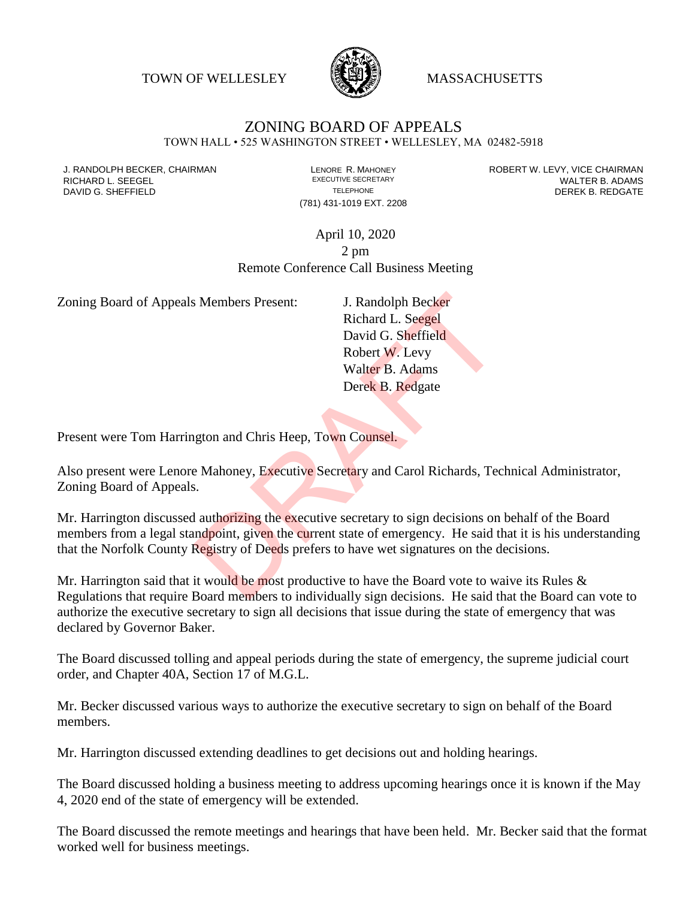TOWN OF WELLESLEY **WASSACHUSETTS** 



## ZONING BOARD OF APPEALS

TOWN HALL • 525 WASHINGTON STREET • WELLESLEY, MA 02482-5918

(781) 431-1019 EXT. 2208

J. RANDOLPH BECKER, CHAIRMAN LAND LENORE R. MAHONEY LEWING AN ANDERT W. LEVY, VICE CHAIRMAN LAND LENORE R. MAHONEY<br>RICHARD L. SFFGFI LADAMS RICHARD L. SEEGEL **EXECUTIVE SECRETARY CONTROLLY SECRETARY WALTER B. ADAMS** DAVID G. SHEFFIELD **TELEPHONE** TELEPHONE TELEPHONE **TELEPHONE DEREK B. REDGATE** 

## April 10, 2020 2 pm Remote Conference Call Business Meeting

Zoning Board of Appeals Members Present: J. Randolph Becker

Richard L. Seegel David G. Sheffield Robert W. Levy Walter B. Adams Derek B. Redgate

Present were Tom Harrington and Chris Heep, Town Counsel.

Also present were Lenore Mahoney, Executive Secretary and Carol Richards, Technical Administrator, Zoning Board of Appeals.

Mr. Harrington discussed authorizing the executive secretary to sign decisions on behalf of the Board members from a legal standpoint, given the current state of emergency. He said that it is his understanding that the Norfolk County Registry of Deeds prefers to have wet signatures on the decisions. I. Randolph Becker<br>
Richard L. Seegel<br>
David G. Sheffield<br>
Robert W. Levy<br>
Walter B. Adams<br>
Derek B. Redgate<br>
David G. Sheffield<br>
Robert W. Levy<br>
Walter B. Adams<br>
Derek B. Redgate<br>
David C. Redgate<br>
Shefter B. Adams<br>
Derek

Mr. Harrington said that it would be most productive to have the Board vote to waive its Rules  $\&$ Regulations that require Board members to individually sign decisions. He said that the Board can vote to authorize the executive secretary to sign all decisions that issue during the state of emergency that was declared by Governor Baker.

The Board discussed tolling and appeal periods during the state of emergency, the supreme judicial court order, and Chapter 40A, Section 17 of M.G.L.

Mr. Becker discussed various ways to authorize the executive secretary to sign on behalf of the Board members.

Mr. Harrington discussed extending deadlines to get decisions out and holding hearings.

The Board discussed holding a business meeting to address upcoming hearings once it is known if the May 4, 2020 end of the state of emergency will be extended.

The Board discussed the remote meetings and hearings that have been held. Mr. Becker said that the format worked well for business meetings.